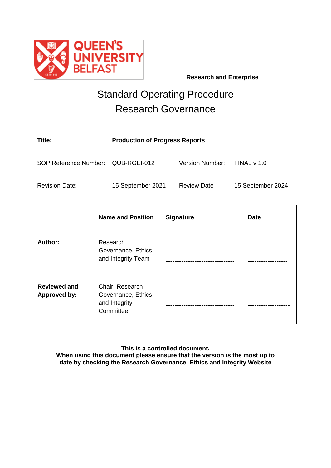

# Standard Operating Procedure Research Governance

| Title:                       | <b>Production of Progress Reports</b> |                        |                   |
|------------------------------|---------------------------------------|------------------------|-------------------|
| <b>SOP Reference Number:</b> | QUB-RGEI-012                          | <b>Version Number:</b> | FINALV 1.0        |
| <b>Revision Date:</b>        | 15 September 2021                     | <b>Review Date</b>     | 15 September 2024 |

|                                            | <b>Name and Position</b>                                            | <b>Signature</b>     | <b>Date</b> |
|--------------------------------------------|---------------------------------------------------------------------|----------------------|-------------|
| <b>Author:</b>                             | Research<br>Governance, Ethics<br>and Integrity Team                |                      |             |
| <b>Reviewed and</b><br><b>Approved by:</b> | Chair, Research<br>Governance, Ethics<br>and Integrity<br>Committee | -------------------- |             |

**This is a controlled document. When using this document please ensure that the version is the most up to date by checking the Research Governance, Ethics and Integrity Website**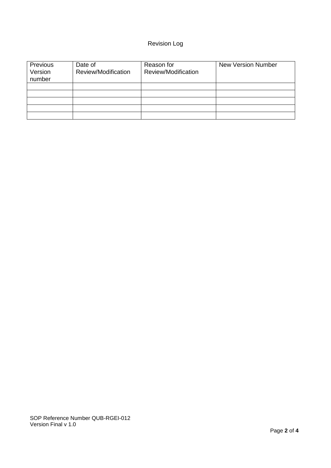## Revision Log

| Previous<br>Version<br>number | Date of<br>Review/Modification | Reason for<br>Review/Modification | <b>New Version Number</b> |
|-------------------------------|--------------------------------|-----------------------------------|---------------------------|
|                               |                                |                                   |                           |
|                               |                                |                                   |                           |
|                               |                                |                                   |                           |
|                               |                                |                                   |                           |
|                               |                                |                                   |                           |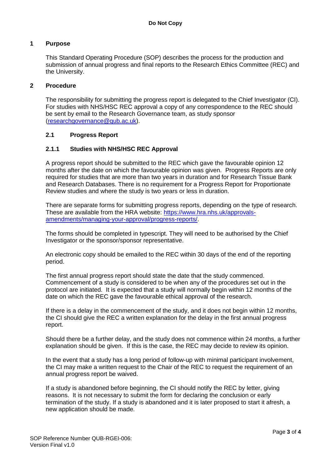#### **1 Purpose**

This Standard Operating Procedure (SOP) describes the process for the production and submission of annual progress and final reports to the Research Ethics Committee (REC) and the University.

#### **2 Procedure**

The responsibility for submitting the progress report is delegated to the Chief Investigator (CI). For studies with NHS/HSC REC approval a copy of any correspondence to the REC should be sent by email to the Research Governance team, as study sponsor [\(researchgovernance@qub.ac.uk\)](mailto:researchgovernance@qub.ac.uk).

#### **2.1 Progress Report**

#### **2.1.1 Studies with NHS/HSC REC Approval**

A progress report should be submitted to the REC which gave the favourable opinion 12 months after the date on which the favourable opinion was given. Progress Reports are only required for studies that are more than two years in duration and for Research Tissue Bank and Research Databases. There is no requirement for a Progress Report for Proportionate Review studies and where the study is two years or less in duration.

There are separate forms for submitting progress reports, depending on the type of research. These are available from the HRA website: [https://www.hra.nhs.uk/approvals](https://www.hra.nhs.uk/approvals-amendments/managing-your-approval/progress-reports/)[amendments/managing-your-approval/progress-reports/.](https://www.hra.nhs.uk/approvals-amendments/managing-your-approval/progress-reports/)

The forms should be completed in typescript. They will need to be authorised by the Chief Investigator or the sponsor/sponsor representative.

An electronic copy should be emailed to the REC within 30 days of the end of the reporting period.

The first annual progress report should state the date that the study commenced. Commencement of a study is considered to be when any of the procedures set out in the protocol are initiated. It is expected that a study will normally begin within 12 months of the date on which the REC gave the favourable ethical approval of the research.

If there is a delay in the commencement of the study, and it does not begin within 12 months, the CI should give the REC a written explanation for the delay in the first annual progress report.

Should there be a further delay, and the study does not commence within 24 months, a further explanation should be given. If this is the case, the REC may decide to review its opinion.

In the event that a study has a long period of follow-up with minimal participant involvement, the CI may make a written request to the Chair of the REC to request the requirement of an annual progress report be waived.

If a study is abandoned before beginning, the CI should notify the REC by letter, giving reasons. It is not necessary to submit the form for declaring the conclusion or early termination of the study. If a study is abandoned and it is later proposed to start it afresh, a new application should be made.